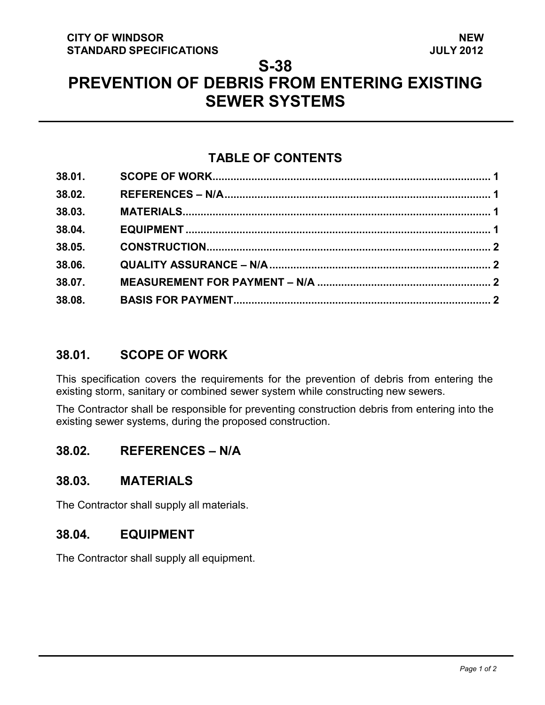#### **CITY OF WINDSOR STANDARD SPECIFICATIONS**

## **S-38**

# **PREVENTION OF DEBRIS FROM ENTERING EXISTING SEWER SYSTEMS**

# **TABLE OF CONTENTS**

| 38.01. |  |
|--------|--|
| 38.02. |  |
| 38.03. |  |
| 38.04. |  |
| 38.05. |  |
| 38.06. |  |
| 38.07. |  |
| 38.08. |  |

## <span id="page-0-3"></span>**38.01. SCOPE OF WORK**

This specification covers the requirements for the prevention of debris from entering the existing storm, sanitary or combined sewer system while constructing new sewers.

The Contractor shall be responsible for preventing construction debris from entering into the existing sewer systems, during the proposed construction.

## <span id="page-0-0"></span>**38.02. REFERENCES – N/A**

## <span id="page-0-1"></span>**38.03. MATERIALS**

The Contractor shall supply all materials.

## <span id="page-0-2"></span>**38.04. EQUIPMENT**

The Contractor shall supply all equipment.